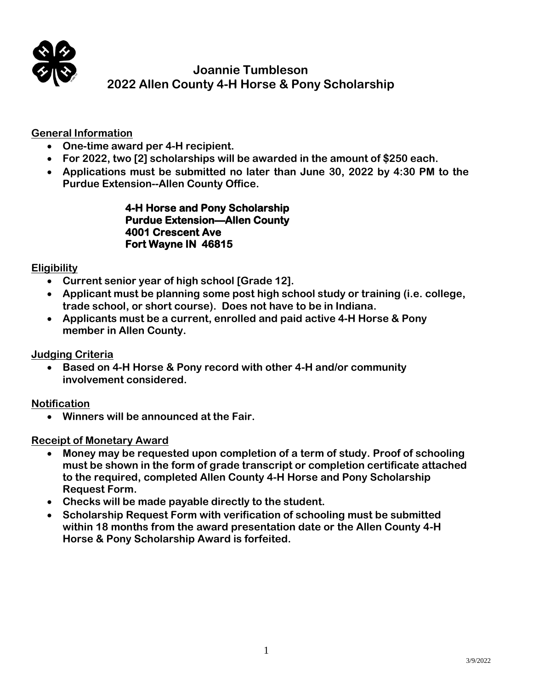

# **Joannie Tumbleson 2022 Allen County 4-H Horse & Pony Scholarship**

# **General Information**

- **One-time award per 4-H recipient.**
- **For 2022, two [2] scholarships will be awarded in the amount of \$250 each.**
- **Applications must be submitted no later than June 30, 2022 by 4:30 PM to the Purdue Extension--Allen County Office.**

#### **4-H Horse and Pony Scholarship Purdue Extension—Allen County 4001 Crescent Ave Fort Wayne IN 46815**

### **Eligibility**

- **Current senior year of high school [Grade 12].**
- **Applicant must be planning some post high school study or training (i.e. college, trade school, or short course). Does not have to be in Indiana.**
- **Applicants must be a current, enrolled and paid active 4-H Horse & Pony member in Allen County.**

### **Judging Criteria**

• **Based on 4-H Horse & Pony record with other 4-H and/or community involvement considered.**

**Notification**

• **Winners will be announced at the Fair.**

### **Receipt of Monetary Award**

- **Money may be requested upon completion of a term of study. Proof of schooling must be shown in the form of grade transcript or completion certificate attached to the required, completed Allen County 4-H Horse and Pony Scholarship Request Form.**
- **Checks will be made payable directly to the student.**
- **Scholarship Request Form with verification of schooling must be submitted within 18 months from the award presentation date or the Allen County 4-H Horse & Pony Scholarship Award is forfeited.**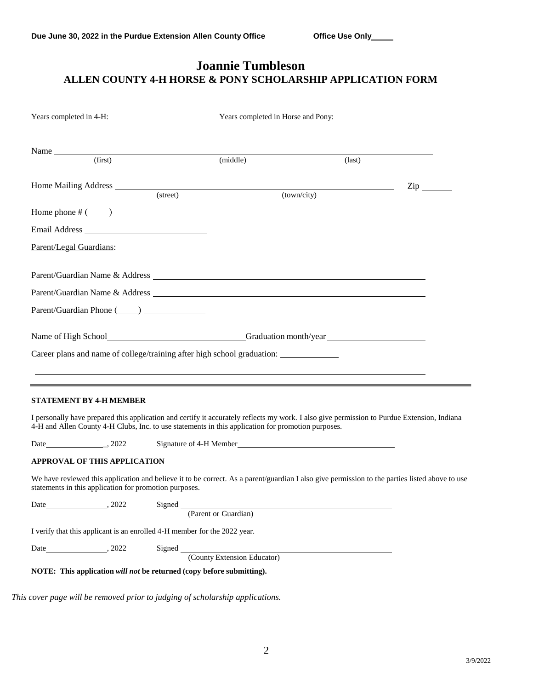# **Joannie Tumbleson ALLEN COUNTY 4-H HORSE & PONY SCHOLARSHIP APPLICATION FORM**

| Years completed in 4-H:                                                                                         |          |                                    | Years completed in Horse and Pony:                                               |                 |                                                                                                                                                |
|-----------------------------------------------------------------------------------------------------------------|----------|------------------------------------|----------------------------------------------------------------------------------|-----------------|------------------------------------------------------------------------------------------------------------------------------------------------|
| (first)                                                                                                         |          |                                    |                                                                                  |                 |                                                                                                                                                |
|                                                                                                                 |          | (middle)                           |                                                                                  | $\text{(last)}$ |                                                                                                                                                |
| Home Mailing Address                                                                                            |          |                                    |                                                                                  |                 | $\mathop{\mathrm{Zip}}\nolimits$                                                                                                               |
|                                                                                                                 | (street) |                                    | (town/city)                                                                      |                 |                                                                                                                                                |
| Home phone $\#$ ( $\qquad$ )                                                                                    |          |                                    |                                                                                  |                 |                                                                                                                                                |
| Email Address                                                                                                   |          |                                    |                                                                                  |                 |                                                                                                                                                |
| Parent/Legal Guardians:                                                                                         |          |                                    |                                                                                  |                 |                                                                                                                                                |
|                                                                                                                 |          |                                    |                                                                                  |                 |                                                                                                                                                |
|                                                                                                                 |          |                                    |                                                                                  |                 |                                                                                                                                                |
|                                                                                                                 |          |                                    |                                                                                  |                 |                                                                                                                                                |
|                                                                                                                 |          |                                    |                                                                                  |                 |                                                                                                                                                |
| Name of High School Contact the Crack Crack Crack Crack Crack Crack Crack Crack Crack Crack Crack Crack Crack C |          |                                    |                                                                                  |                 |                                                                                                                                                |
| Career plans and name of college/training after high school graduation:                                         |          |                                    |                                                                                  |                 |                                                                                                                                                |
|                                                                                                                 |          |                                    | ,我们也不能在这里的时候,我们也不能会在这里,我们也不能会在这里的时候,我们也不能会在这里的时候,我们也不能会在这里的时候,我们也不能会在这里的时候,我们也不能 |                 |                                                                                                                                                |
|                                                                                                                 |          |                                    | <u> 2000 - Andrea Andrew Amerikaanse kommunister († 2001)</u>                    |                 |                                                                                                                                                |
| <b>STATEMENT BY 4-H MEMBER</b>                                                                                  |          |                                    |                                                                                  |                 |                                                                                                                                                |
| 4-H and Allen County 4-H Clubs, Inc. to use statements in this application for promotion purposes.              |          |                                    |                                                                                  |                 | I personally have prepared this application and certify it accurately reflects my work. I also give permission to Purdue Extension, Indiana    |
|                                                                                                                 |          |                                    | Signature of 4-H Member <b>Signature of 4-H Member</b>                           |                 |                                                                                                                                                |
| <b>APPROVAL OF THIS APPLICATION</b>                                                                             |          |                                    |                                                                                  |                 |                                                                                                                                                |
| statements in this application for promotion purposes.                                                          |          |                                    |                                                                                  |                 | We have reviewed this application and believe it to be correct. As a parent/guardian I also give permission to the parties listed above to use |
|                                                                                                                 | Signed   | (Parent or Guardian)               |                                                                                  |                 |                                                                                                                                                |
|                                                                                                                 |          |                                    |                                                                                  |                 |                                                                                                                                                |
| I verify that this applicant is an enrolled 4-H member for the 2022 year.                                       |          |                                    |                                                                                  |                 |                                                                                                                                                |
|                                                                                                                 |          |                                    |                                                                                  |                 |                                                                                                                                                |
|                                                                                                                 |          | Signed (County Extension Educator) |                                                                                  |                 |                                                                                                                                                |
| NOTE: This application will not be returned (copy before submitting).                                           |          |                                    |                                                                                  |                 |                                                                                                                                                |

*This cover page will be removed prior to judging of scholarship applications.*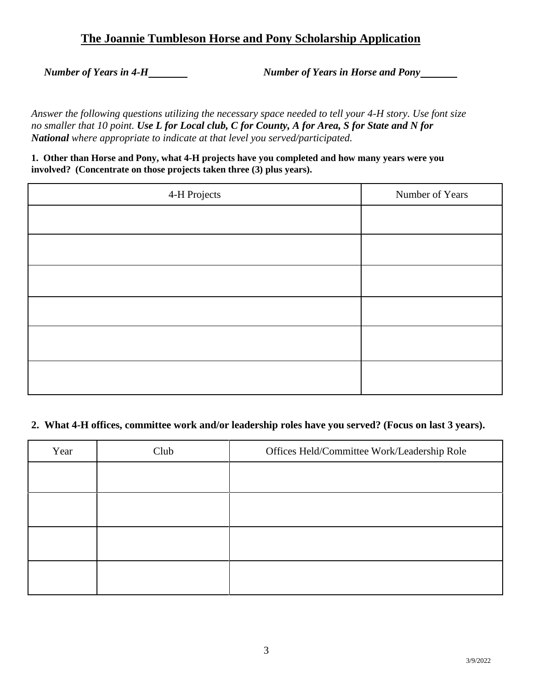# **The Joannie Tumbleson Horse and Pony Scholarship Application**

*Number of Years in 4-H Number of Years in Horse and Pony*

*Answer the following questions utilizing the necessary space needed to tell your 4-H story. Use font size no smaller that 10 point. Use L for Local club, C for County, A for Area, S for State and N for National where appropriate to indicate at that level you served/participated.*

**1. Other than Horse and Pony, what 4-H projects have you completed and how many years were you involved? (Concentrate on those projects taken three (3) plus years).**

| 4-H Projects | Number of Years |
|--------------|-----------------|
|              |                 |
|              |                 |
|              |                 |
|              |                 |
|              |                 |
|              |                 |

#### **2. What 4-H offices, committee work and/or leadership roles have you served? (Focus on last 3 years).**

| Year | Club | Offices Held/Committee Work/Leadership Role |
|------|------|---------------------------------------------|
|      |      |                                             |
|      |      |                                             |
|      |      |                                             |
|      |      |                                             |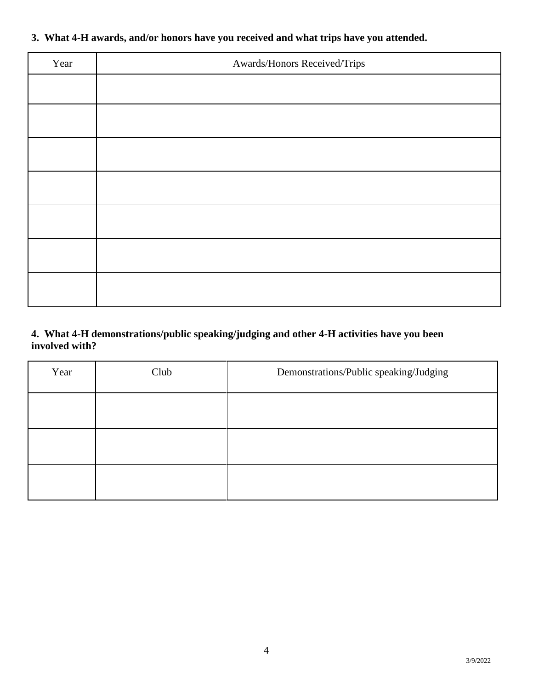# **3. What 4-H awards, and/or honors have you received and what trips have you attended.**

| Year | Awards/Honors Received/Trips |
|------|------------------------------|
|      |                              |
|      |                              |
|      |                              |
|      |                              |
|      |                              |
|      |                              |
|      |                              |

# **4. What 4-H demonstrations/public speaking/judging and other 4-H activities have you been involved with?**

| Year | Club | Demonstrations/Public speaking/Judging |
|------|------|----------------------------------------|
|      |      |                                        |
|      |      |                                        |
|      |      |                                        |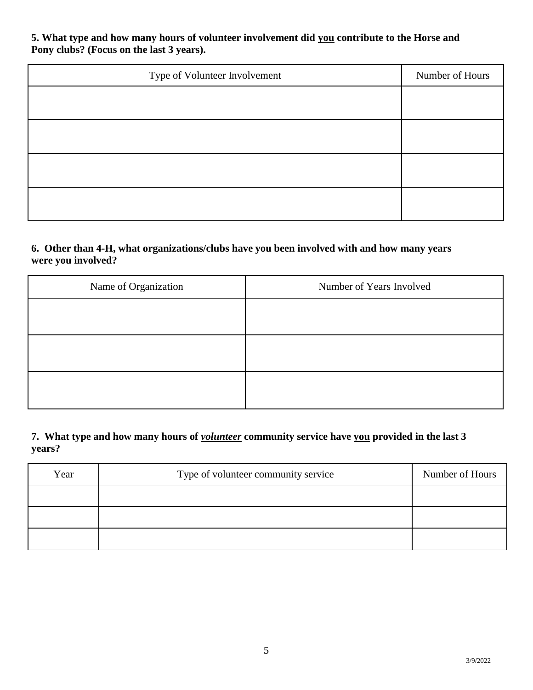**5. What type and how many hours of volunteer involvement did you contribute to the Horse and Pony clubs? (Focus on the last 3 years).**

| Type of Volunteer Involvement | Number of Hours |
|-------------------------------|-----------------|
|                               |                 |
|                               |                 |
|                               |                 |
|                               |                 |

#### **6. Other than 4-H, what organizations/clubs have you been involved with and how many years were you involved?**

| Name of Organization | Number of Years Involved |
|----------------------|--------------------------|
|                      |                          |
|                      |                          |
|                      |                          |
|                      |                          |
|                      |                          |
|                      |                          |

**7. What type and how many hours of** *volunteer* **community service have you provided in the last 3 years?**

| Year | Type of volunteer community service | Number of Hours |
|------|-------------------------------------|-----------------|
|      |                                     |                 |
|      |                                     |                 |
|      |                                     |                 |